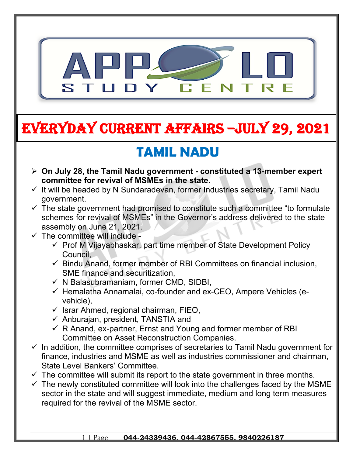

# **EVERYDAY CURRENT AFFAIRS –jULY 29, 2021**

## **TAMIL NADU**

- **On July 28, the Tamil Nadu government constituted a 13-member expert committee for revival of MSMEs in the state.**
- $\checkmark$  It will be headed by N Sundaradevan, former Industries secretary, Tamil Nadu government.
- $\checkmark$  The state government had promised to constitute such a committee "to formulate schemes for revival of MSMEs" in the Governor's address delivered to the state assembly on June 21, 2021.
- $\checkmark$  The committee will include -

**-**

- $\checkmark$  Prof M Vijayabhaskar, part time member of State Development Policy Council,
- $\checkmark$  Bindu Anand, former member of RBI Committees on financial inclusion, SME finance and securitization,
- $\checkmark$  N Balasubramaniam, former CMD, SIDBI,
- $\checkmark$  Hemalatha Annamalai, co-founder and ex-CEO, Ampere Vehicles (evehicle),
- $\checkmark$  Israr Ahmed, regional chairman, FIEO,
- $\checkmark$  Anburajan, president, TANSTIA and
- $\checkmark$  R Anand, ex-partner, Ernst and Young and former member of RBI Committee on Asset Reconstruction Companies.
- $\checkmark$  In addition, the committee comprises of secretaries to Tamil Nadu government for finance, industries and MSME as well as industries commissioner and chairman, State Level Bankers' Committee.
- $\checkmark$  The committee will submit its report to the state government in three months.
- $\checkmark$  The newly constituted committee will look into the challenges faced by the MSME sector in the state and will suggest immediate, medium and long term measures required for the revival of the MSME sector.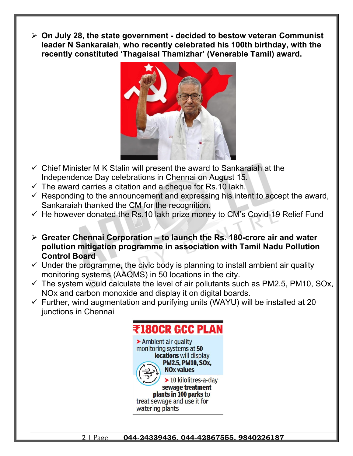**On July 28, the state government - decided to bestow veteran Communist leader N Sankaraiah**, **who recently celebrated his 100th birthday, with the recently constituted 'Thagaisal Thamizhar' (Venerable Tamil) award.**



- $\checkmark$  Chief Minister M K Stalin will present the award to Sankaraiah at the Independence Day celebrations in Chennai on August 15.
- $\checkmark$  The award carries a citation and a cheque for Rs.10 lakh.
- $\checkmark$  Responding to the announcement and expressing his intent to accept the award, Sankaraiah thanked the CM for the recognition.
- $\checkmark$  He however donated the Rs.10 lakh prize money to CM's Covid-19 Relief Fund
- **Greater Chennai Corporation to launch the Rs. 180-crore air and water pollution mitigation programme in association with Tamil Nadu Pollution Control Board**
- $\checkmark$  Under the programme, the civic body is planning to install ambient air quality monitoring systems (AAQMS) in 50 locations in the city.
- $\checkmark$  The system would calculate the level of air pollutants such as PM2.5, PM10, SOx, NOx and carbon monoxide and display it on digital boards.
- $\checkmark$  Further, wind augmentation and purifying units (WAYU) will be installed at 20 junctions in Chennai



2 | Page **044-24339436, 044-42867555, 9840226187**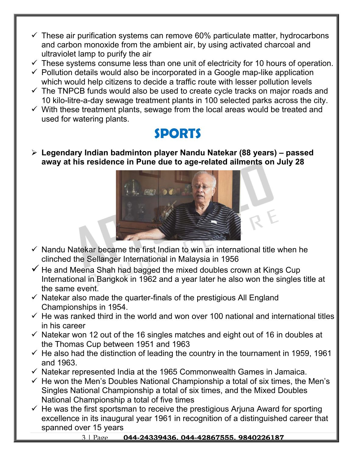- $\checkmark$  These air purification systems can remove 60% particulate matter, hydrocarbons and carbon monoxide from the ambient air, by using activated charcoal and ultraviolet lamp to purify the air
- $\checkmark$  These systems consume less than one unit of electricity for 10 hours of operation.
- $\checkmark$  Pollution details would also be incorporated in a Google map-like application which would help citizens to decide a traffic route with lesser pollution levels
- $\checkmark$  The TNPCB funds would also be used to create cycle tracks on major roads and 10 kilo-litre-a-day sewage treatment plants in 100 selected parks across the city.
- $\checkmark$  With these treatment plants, sewage from the local areas would be treated and used for watering plants.

## **SPORTS**

 **Legendary Indian badminton player Nandu Natekar (88 years) – passed away at his residence in Pune due to age-related ailments on July 28**



- $\checkmark$  Nandu Natekar became the first Indian to win an international title when he clinched the Sellanger International in Malaysia in 1956
- $\checkmark$  He and Meena Shah had bagged the mixed doubles crown at Kings Cup International in Bangkok in 1962 and a year later he also won the singles title at the same event.
- $\checkmark$  Natekar also made the quarter-finals of the prestigious All England Championships in 1954.
- $\checkmark$  He was ranked third in the world and won over 100 national and international titles in his career
- $\checkmark$  Natekar won 12 out of the 16 singles matches and eight out of 16 in doubles at the Thomas Cup between 1951 and 1963
- $\checkmark$  He also had the distinction of leading the country in the tournament in 1959, 1961 and 1963.
- $\checkmark$  Natekar represented India at the 1965 Commonwealth Games in Jamaica.
- $\checkmark$  He won the Men's Doubles National Championship a total of six times, the Men's Singles National Championship a total of six times, and the Mixed Doubles National Championship a total of five times
- $\checkmark$  He was the first sportsman to receive the prestigious Arjuna Award for sporting excellence in its inaugural year 1961 in recognition of a distinguished career that spanned over 15 years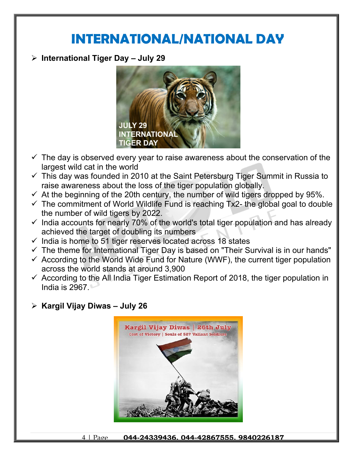### **INTERNATIONAL/NATIONAL DAY**

**International Tiger Day – July 29**



- $\checkmark$  The day is observed every year to raise awareness about the conservation of the largest wild cat in the world
- $\checkmark$  This day was founded in 2010 at the Saint Petersburg Tiger Summit in Russia to raise awareness about the loss of the tiger population globally.
- $\checkmark$  At the beginning of the 20th century, the number of wild tigers dropped by 95%.
- $\checkmark$  The commitment of World Wildlife Fund is reaching Tx2- the global goal to double the number of wild tigers by 2022.
- $\checkmark$  India accounts for nearly 70% of the world's total tiger population and has already achieved the target of doubling its numbers
- $\checkmark$  India is home to 51 tiger reserves located across 18 states
- $\checkmark$  The theme for International Tiger Day is based on "Their Survival is in our hands"
- $\checkmark$  According to the World Wide Fund for Nature (WWF), the current tiger population across the world stands at around 3,900
- $\checkmark$  According to the All India Tiger Estimation Report of 2018, the tiger population in India is 2967.
- **Kargil Vijay Diwas July 26**



4 | Page **044-24339436, 044-42867555, 9840226187**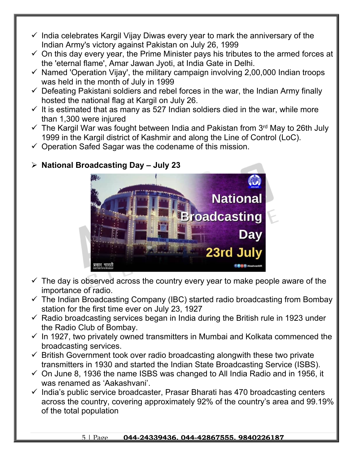- $\checkmark$  India celebrates Kargil Vijay Diwas every year to mark the anniversary of the Indian Army's victory against Pakistan on July 26, 1999
- $\checkmark$  On this day every year, the Prime Minister pays his tributes to the armed forces at the 'eternal flame', Amar Jawan Jyoti, at India Gate in Delhi.
- $\checkmark$  Named 'Operation Vijay', the military campaign involving 2,00,000 Indian troops was held in the month of July in 1999
- $\checkmark$  Defeating Pakistani soldiers and rebel forces in the war, the Indian Army finally hosted the national flag at Kargil on July 26.
- $\checkmark$  It is estimated that as many as 527 Indian soldiers died in the war, while more than 1,300 were injured
- $\checkmark$  The Kargil War was fought between India and Pakistan from 3<sup>rd</sup> May to 26th July 1999 in the Kargil district of Kashmir and along the Line of Control (LoC).
- $\checkmark$  Operation Safed Sagar was the codename of this mission.



#### **National Broadcasting Day – July 23**

- $\checkmark$  The day is observed across the country every year to make people aware of the importance of radio.
- $\checkmark$  The Indian Broadcasting Company (IBC) started radio broadcasting from Bombay station for the first time ever on July 23, 1927
- $\checkmark$  Radio broadcasting services began in India during the British rule in 1923 under the Radio Club of Bombay.
- $\checkmark$  In 1927, two privately owned transmitters in Mumbai and Kolkata commenced the broadcasting services.
- $\checkmark$  British Government took over radio broadcasting alongwith these two private transmitters in 1930 and started the Indian State Broadcasting Service (ISBS).
- $\checkmark$  On June 8, 1936 the name ISBS was changed to All India Radio and in 1956, it was renamed as 'Aakashvani'.
- $\checkmark$  India's public service broadcaster, Prasar Bharati has 470 broadcasting centers across the country, covering approximately 92% of the country's area and 99.19% of the total population

#### 5 | Page **044-24339436, 044-42867555, 9840226187**